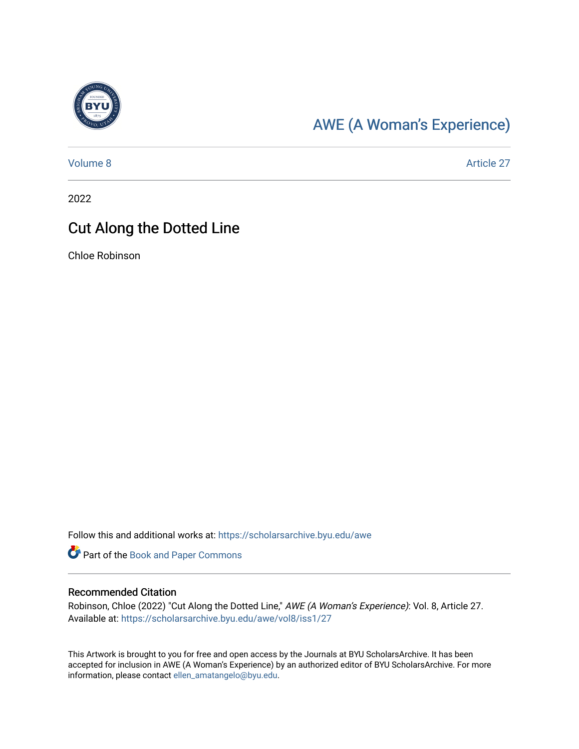

## [AWE \(A Woman's Experience\)](https://scholarsarchive.byu.edu/awe)

[Volume 8](https://scholarsarchive.byu.edu/awe/vol8) Article 27

2022

## Cut Along the Dotted Line

Chloe Robinson

Follow this and additional works at: [https://scholarsarchive.byu.edu/awe](https://scholarsarchive.byu.edu/awe?utm_source=scholarsarchive.byu.edu%2Fawe%2Fvol8%2Fiss1%2F27&utm_medium=PDF&utm_campaign=PDFCoverPages)

Part of the [Book and Paper Commons](https://network.bepress.com/hgg/discipline/1138?utm_source=scholarsarchive.byu.edu%2Fawe%2Fvol8%2Fiss1%2F27&utm_medium=PDF&utm_campaign=PDFCoverPages)

## Recommended Citation

Robinson, Chloe (2022) "Cut Along the Dotted Line," AWE (A Woman's Experience): Vol. 8, Article 27. Available at: [https://scholarsarchive.byu.edu/awe/vol8/iss1/27](https://scholarsarchive.byu.edu/awe/vol8/iss1/27?utm_source=scholarsarchive.byu.edu%2Fawe%2Fvol8%2Fiss1%2F27&utm_medium=PDF&utm_campaign=PDFCoverPages) 

This Artwork is brought to you for free and open access by the Journals at BYU ScholarsArchive. It has been accepted for inclusion in AWE (A Woman's Experience) by an authorized editor of BYU ScholarsArchive. For more information, please contact [ellen\\_amatangelo@byu.edu.](mailto:ellen_amatangelo@byu.edu)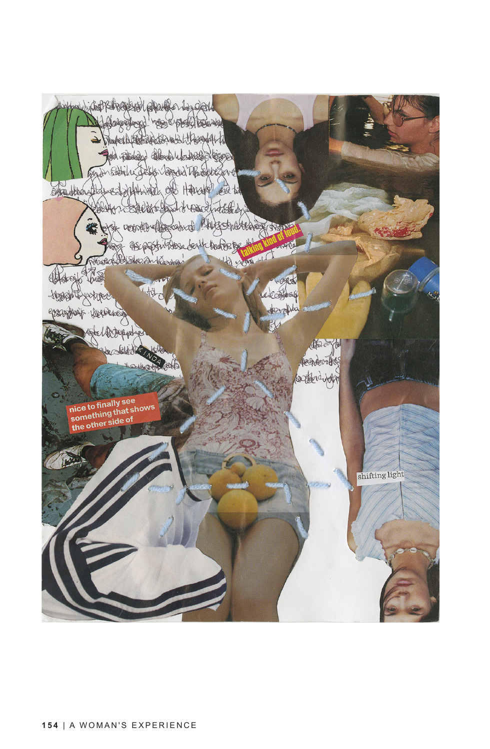